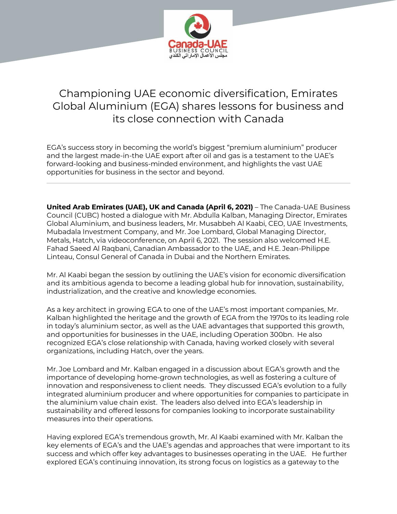

## Championing UAE economic diversification, Emirates Global Aluminium (EGA) shares lessons for business and its close connection with Canada

EGA's success story in becoming the world's biggest "premium aluminium" producer and the largest made-in-the UAE export after oil and gas is a testament to the UAE's forward-looking and business-minded environment, and highlights the vast UAE opportunities for business in the sector and beyond.

**United Arab Emirates (UAE), UK and Canada (April 6, 2021)** – The Canada-UAE Business Council (CUBC) hosted a dialogue with Mr. Abdulla Kalban, Managing Director, Emirates Global Aluminium, and business leaders, Mr. Musabbeh Al Kaabi, CEO, UAE Investments, Mubadala Investment Company, and Mr. Joe Lombard, Global Managing Director, Metals, Hatch, via videoconference, on April 6, 2021. The session also welcomed H.E. Fahad Saeed Al Raqbani, Canadian Ambassador to the UAE, and H.E. Jean-Philippe Linteau, Consul General of Canada in Dubai and the Northern Emirates.

Mr. Al Kaabi began the session by outlining the UAE's vision for economic diversification and its ambitious agenda to become a leading global hub for innovation, sustainability, industrialization, and the creative and knowledge economies.

As a key architect in growing EGA to one of the UAE's most important companies, Mr. Kalban highlighted the heritage and the growth of EGA from the 1970s to its leading role in today's aluminium sector, as well as the UAE advantages that supported this growth, and opportunities for businesses in the UAE, including Operation 300bn. He also recognized EGA's close relationship with Canada, having worked closely with several organizations, including Hatch, over the years.

Mr. Joe Lombard and Mr. Kalban engaged in a discussion about EGA's growth and the importance of developing home-grown technologies, as well as fostering a culture of innovation and responsiveness to client needs. They discussed EGA's evolution to a fully integrated aluminium producer and where opportunities for companies to participate in the aluminium value chain exist. The leaders also delved into EGA's leadership in sustainability and offered lessons for companies looking to incorporate sustainability measures into their operations.

Having explored EGA's tremendous growth, Mr. Al Kaabi examined with Mr. Kalban the key elements of EGA's and the UAE's agendas and approaches that were important to its success and which offer key advantages to businesses operating in the UAE. He further explored EGA's continuing innovation, its strong focus on logistics as a gateway to the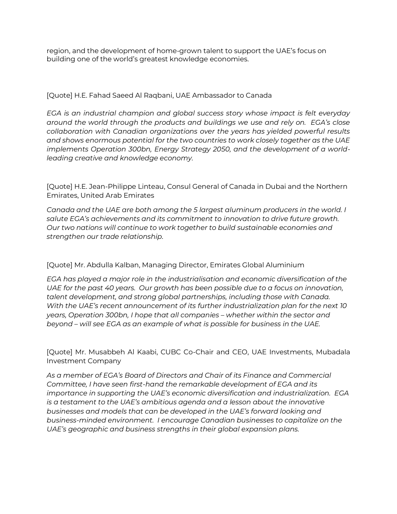region, and the development of home-grown talent to support the UAE's focus on building one of the world's greatest knowledge economies.

## [Quote] H.E. Fahad Saeed Al Raqbani, UAE Ambassador to Canada

*EGA is an industrial champion and global success story whose impact is felt everyday around the world through the products and buildings we use and rely on. EGA's close collaboration with Canadian organizations over the years has yielded powerful results and shows enormous potential for the two countries to work closely together as the UAE implements Operation 300bn, Energy Strategy 2050, and the development of a worldleading creative and knowledge economy.*

[Quote] H.E. Jean-Philippe Linteau, Consul General of Canada in Dubai and the Northern Emirates, United Arab Emirates

*Canada and the UAE are both among the 5 largest aluminum producers in the world. I salute EGA's achievements and its commitment to innovation to drive future growth. Our two nations will continue to work together to build sustainable economies and strengthen our trade relationship.*

## [Quote] Mr. Abdulla Kalban, Managing Director, Emirates Global Aluminium

*EGA has played a major role in the industrialisation and economic diversification of the UAE for the past 40 years. Our growth has been possible due to a focus on innovation, talent development, and strong global partnerships, including those with Canada. With the UAE's recent announcement of its further industrialization plan for the next 10 years, Operation 300bn, I hope that all companies – whether within the sector and beyond – will see EGA as an example of what is possible for business in the UAE.* 

[Quote] Mr. Musabbeh Al Kaabi, CUBC Co-Chair and CEO, UAE Investments, Mubadala Investment Company

*As a member of EGA's Board of Directors and Chair of its Finance and Commercial Committee, I have seen first-hand the remarkable development of EGA and its importance in supporting the UAE's economic diversification and industrialization. EGA is a testament to the UAE's ambitious agenda and a lesson about the innovative businesses and models that can be developed in the UAE's forward looking and business-minded environment. I encourage Canadian businesses to capitalize on the UAE's geographic and business strengths in their global expansion plans.*